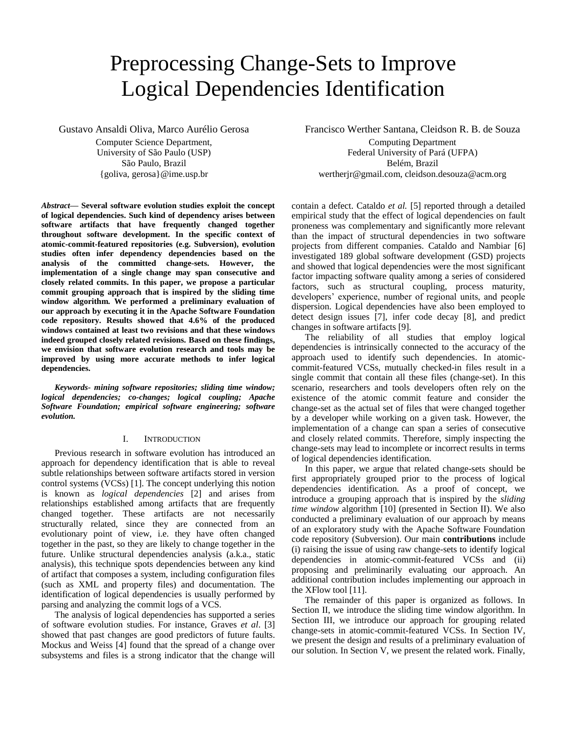# Preprocessing Change-Sets to Improve Logical Dependencies Identification

Gustavo Ansaldi Oliva, Marco Aurélio Gerosa

Computer Science Department, University of São Paulo (USP) São Paulo, Brazil {goliva, gerosa}@ime.usp.br

*Abstract***— Several software evolution studies exploit the concept of logical dependencies. Such kind of dependency arises between software artifacts that have frequently changed together throughout software development. In the specific context of atomic-commit-featured repositories (e.g. Subversion), evolution studies often infer dependency dependencies based on the analysis of the committed change-sets. However, the implementation of a single change may span consecutive and closely related commits. In this paper, we propose a particular commit grouping approach that is inspired by the sliding time window algorithm. We performed a preliminary evaluation of our approach by executing it in the Apache Software Foundation code repository. Results showed that 4.6% of the produced windows contained at least two revisions and that these windows indeed grouped closely related revisions. Based on these findings, we envision that software evolution research and tools may be improved by using more accurate methods to infer logical dependencies.**

*Keywords- mining software repositories; sliding time window; logical dependencies; co-changes; logical coupling; Apache Software Foundation; empirical software engineering; software evolution.*

# I. INTRODUCTION

Previous research in software evolution has introduced an approach for dependency identification that is able to reveal subtle relationships between software artifacts stored in version control systems (VCSs) [1]. The concept underlying this notion is known as *logical dependencies* [2] and arises from relationships established among artifacts that are frequently changed together. These artifacts are not necessarily structurally related, since they are connected from an evolutionary point of view, i.e. they have often changed together in the past, so they are likely to change together in the future. Unlike structural dependencies analysis (a.k.a., static analysis), this technique spots dependencies between any kind of artifact that composes a system, including configuration files (such as XML and property files) and documentation. The identification of logical dependencies is usually performed by parsing and analyzing the commit logs of a VCS.

The analysis of logical dependencies has supported a series of software evolution studies. For instance, Graves *et al*. [3] showed that past changes are good predictors of future faults. Mockus and Weiss [4] found that the spread of a change over subsystems and files is a strong indicator that the change will

Francisco Werther Santana, Cleidson R. B. de Souza Computing Department Federal University of Pará (UFPA)

Belém, Brazil wertherjr@gmail.com, cleidson.desouza@acm.org

contain a defect. Cataldo *et al.* [5] reported through a detailed empirical study that the effect of logical dependencies on fault proneness was complementary and significantly more relevant than the impact of structural dependencies in two software projects from different companies. Cataldo and Nambiar [6] investigated 189 global software development (GSD) projects and showed that logical dependencies were the most significant factor impacting software quality among a series of considered factors, such as structural coupling, process maturity, developers' experience, number of regional units, and people dispersion. Logical dependencies have also been employed to detect design issues [7], infer code decay [8], and predict changes in software artifacts [9].

The reliability of all studies that employ logical dependencies is intrinsically connected to the accuracy of the approach used to identify such dependencies. In atomiccommit-featured VCSs, mutually checked-in files result in a single commit that contain all these files (change-set). In this scenario, researchers and tools developers often rely on the existence of the atomic commit feature and consider the change-set as the actual set of files that were changed together by a developer while working on a given task. However, the implementation of a change can span a series of consecutive and closely related commits. Therefore, simply inspecting the change-sets may lead to incomplete or incorrect results in terms of logical dependencies identification.

In this paper, we argue that related change-sets should be first appropriately grouped prior to the process of logical dependencies identification. As a proof of concept, we introduce a grouping approach that is inspired by the *sliding time window* algorithm [10] (presented in Section II). We also conducted a preliminary evaluation of our approach by means of an exploratory study with the Apache Software Foundation code repository (Subversion). Our main **contributions** include (i) raising the issue of using raw change-sets to identify logical dependencies in atomic-commit-featured VCSs and (ii) proposing and preliminarily evaluating our approach. An additional contribution includes implementing our approach in the XFlow tool [11].

The remainder of this paper is organized as follows. In Section II, we introduce the sliding time window algorithm. In Section III, we introduce our approach for grouping related change-sets in atomic-commit-featured VCSs. In Section IV, we present the design and results of a preliminary evaluation of our solution. In Section V, we present the related work. Finally,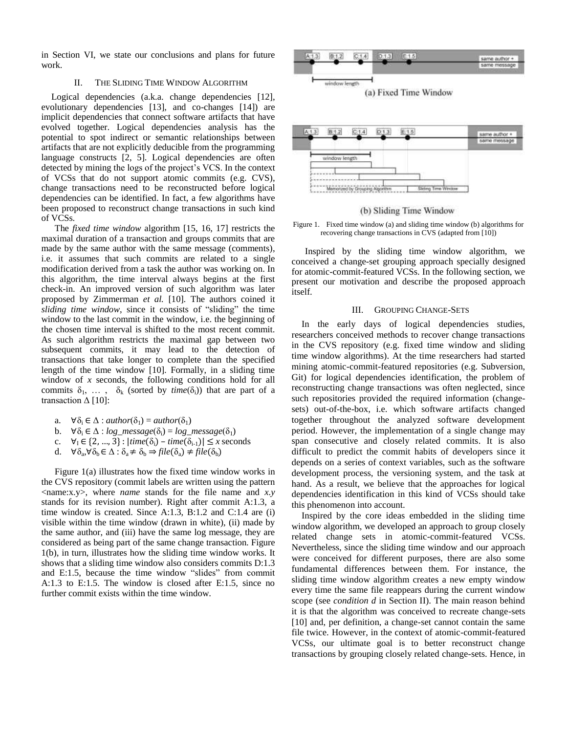in Section VI, we state our conclusions and plans for future work.

# II. THE SLIDING TIME WINDOW ALGORITHM

Logical dependencies (a.k.a. change dependencies [12], evolutionary dependencies [13], and co-changes [14]) are implicit dependencies that connect software artifacts that have evolved together. Logical dependencies analysis has the potential to spot indirect or semantic relationships between artifacts that are not explicitly deducible from the programming language constructs [2, 5]. Logical dependencies are often detected by mining the logs of the project's VCS. In the context of VCSs that do not support atomic commits (e.g. CVS), change transactions need to be reconstructed before logical dependencies can be identified. In fact, a few algorithms have been proposed to reconstruct change transactions in such kind of VCSs.

The *fixed time window* algorithm [15, 16, 17] restricts the maximal duration of a transaction and groups commits that are made by the same author with the same message (comments), i.e. it assumes that such commits are related to a single modification derived from a task the author was working on. In this algorithm, the time interval always begins at the first check-in. An improved version of such algorithm was later proposed by Zimmerman *et al.* [10]. The authors coined it *sliding time window*, since it consists of "sliding" the time window to the last commit in the window, i.e. the beginning of the chosen time interval is shifted to the most recent commit. As such algorithm restricts the maximal gap between two subsequent commits, it may lead to the detection of transactions that take longer to complete than the specified length of the time window [10]. Formally, in a sliding time window of *x* seconds, the following conditions hold for all commits  $\delta_1, \ldots, \delta_k$  (sorted by *time*( $\delta_i$ )) that are part of a transaction  $\Delta$  [10]:

- a.  $\forall \delta_i \in \Delta$  : *author*( $\delta_1$ ) = *author*( $\delta_1$ )
- b.  $\forall \delta_i \in \Delta : log\_message(\delta_i) = log\_message(\delta_1)$
- c.  $\forall_1 \in \{2, ..., 3\} : |time(\delta_i) time(\delta_{i-1})| \leq x$  seconds
- d.  $\forall \delta_a, \forall \delta_b \in \Delta : \delta_a \neq \delta_b \Rightarrow \text{file}(\delta_a) \neq \text{file}(\delta_b)$

Figure 1(a) illustrates how the fixed time window works in the CVS repository (commit labels are written using the pattern <name:x.y>, where *name* stands for the file name and *x.y* stands for its revision number). Right after commit A:1.3, a time window is created. Since A:1.3, B:1.2 and C:1.4 are (i) visible within the time window (drawn in white), (ii) made by the same author, and (iii) have the same log message, they are considered as being part of the same change transaction. Figure 1(b), in turn, illustrates how the sliding time window works. It shows that a sliding time window also considers commits D:1.3 and E:1.5, because the time window "slides" from commit A:1.3 to E:1.5. The window is closed after E:1.5, since no further commit exists within the time window.





(b) Sliding Time Window



Inspired by the sliding time window algorithm, we conceived a change-set grouping approach specially designed for atomic-commit-featured VCSs. In the following section, we present our motivation and describe the proposed approach itself.

# III. GROUPING CHANGE-SETS

In the early days of logical dependencies studies, researchers conceived methods to recover change transactions in the CVS repository (e.g. fixed time window and sliding time window algorithms). At the time researchers had started mining atomic-commit-featured repositories (e.g. Subversion, Git) for logical dependencies identification, the problem of reconstructing change transactions was often neglected, since such repositories provided the required information (changesets) out-of-the-box, i.e. which software artifacts changed together throughout the analyzed software development period. However, the implementation of a single change may span consecutive and closely related commits. It is also difficult to predict the commit habits of developers since it depends on a series of context variables, such as the software development process, the versioning system, and the task at hand. As a result, we believe that the approaches for logical dependencies identification in this kind of VCSs should take this phenomenon into account.

Inspired by the core ideas embedded in the sliding time window algorithm, we developed an approach to group closely related change sets in atomic-commit-featured VCSs. Nevertheless, since the sliding time window and our approach were conceived for different purposes, there are also some fundamental differences between them. For instance, the sliding time window algorithm creates a new empty window every time the same file reappears during the current window scope (see *condition d* in Section II). The main reason behind it is that the algorithm was conceived to recreate change-sets [10] and, per definition, a change-set cannot contain the same file twice. However, in the context of atomic-commit-featured VCSs, our ultimate goal is to better reconstruct change transactions by grouping closely related change-sets. Hence, in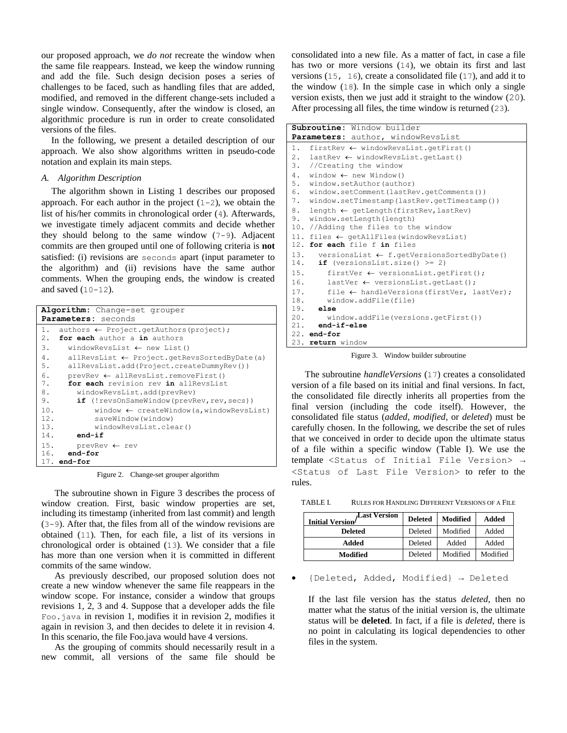our proposed approach, we *do not* recreate the window when the same file reappears. Instead, we keep the window running and add the file. Such design decision poses a series of challenges to be faced, such as handling files that are added, modified, and removed in the different change-sets included a single window. Consequently, after the window is closed, an algorithmic procedure is run in order to create consolidated versions of the files.

In the following, we present a detailed description of our approach. We also show algorithms written in pseudo-code notation and explain its main steps.

# *A. Algorithm Description*

The algorithm shown in Listing 1 describes our proposed approach. For each author in the project  $(1-2)$ , we obtain the list of his/her commits in chronological order (4). Afterwards, we investigate timely adjacent commits and decide whether they should belong to the same window (7-9). Adjacent commits are then grouped until one of following criteria is **not** satisfied: (i) revisions are seconds apart (input parameter to the algorithm) and (ii) revisions have the same author comments. When the grouping ends, the window is created and saved  $(10-12)$ .

| Algorithm: Change-set grouper<br>Parameters: seconds                                            |
|-------------------------------------------------------------------------------------------------|
| $authors \leftarrow Project.getAuthors (project);$<br>1.<br>for each author a in authors<br>2.1 |
| 3.<br>windowRevsList $\leftarrow$ new List()                                                    |
| 4.<br>$allRevsList \leftarrow Project.getRevsSortedByDate(a)$                                   |
| 5.<br>allRevsList.add(Project.createDummyRev())                                                 |
| 6.<br>$prevRev \leftarrow allRevslist.removeFirst()$                                            |
| 7.<br>for each revision rev in allRevsList                                                      |
| 8.<br>windowRevsList.add(prevRev)                                                               |
| 9.<br>if (!revsOnSameWindow(prevRev,rev,secs))                                                  |
| 10.<br>window $\leftarrow$ createWindow(a, windowRevsList)                                      |
| 12.<br>saveWindow(window)                                                                       |
| 13.<br>windowRevsList.clear()                                                                   |
| 14.<br>$end-if$                                                                                 |
| 15.<br>$prevRev \leftarrow rev$                                                                 |
| $16.$ end-for                                                                                   |
| $17.$ end-for                                                                                   |

Figure 2. Change-set grouper algorithm

The subroutine shown in Figure 3 describes the process of window creation. First, basic window properties are set, including its timestamp (inherited from last commit) and length (3-9). After that, the files from all of the window revisions are obtained (11). Then, for each file, a list of its versions in chronological order is obtained (13). We consider that a file has more than one version when it is committed in different commits of the same window.

As previously described, our proposed solution does not create a new window whenever the same file reappears in the window scope. For instance, consider a window that groups revisions 1, 2, 3 and 4. Suppose that a developer adds the file Foo.java in revision 1, modifies it in revision 2, modifies it again in revision 3, and then decides to delete it in revision 4. In this scenario, the file Foo.java would have 4 versions.

As the grouping of commits should necessarily result in a new commit, all versions of the same file should be

consolidated into a new file. As a matter of fact, in case a file has two or more versions (14), we obtain its first and last versions  $(15, 16)$ , create a consolidated file  $(17)$ , and add it to the window (18). In the simple case in which only a single version exists, then we just add it straight to the window (20). After processing all files, the time window is returned (23).

| <b>Subroutine:</b> Window builder                            |  |  |  |  |
|--------------------------------------------------------------|--|--|--|--|
| Parameters: author, windowRevsList                           |  |  |  |  |
| 1. firstRev $\leftarrow$ windowRevsList.getFirst()           |  |  |  |  |
| 2. lastRev $\leftarrow$ windowRevsList.getLast()             |  |  |  |  |
| 3. //Creating the window                                     |  |  |  |  |
| 4. window $\leftarrow$ new Window()                          |  |  |  |  |
| 5. window.setAuthor(author)                                  |  |  |  |  |
| 6. window.setComment(lastRev.getComments())                  |  |  |  |  |
| 7. window.setTimestamp(lastRev.getTimestamp())               |  |  |  |  |
| 8.<br>length $\leftarrow$ getLength (firstRev, lastRev)      |  |  |  |  |
| 9. window.setLength(length)                                  |  |  |  |  |
| 10. //Adding the files to the window                         |  |  |  |  |
| 11. files $\leftarrow$ getAllFiles (windowRevsList)          |  |  |  |  |
| 12. for each file f in files                                 |  |  |  |  |
| 13. versionsList $\leftarrow$ f.getVersionsSortedByDate()    |  |  |  |  |
| if (versionsList.size() $>= 2$ )<br>14.                      |  |  |  |  |
| 15.<br>firstVer $\leftarrow$ versionsList.getFirst();        |  |  |  |  |
| 16.<br>lastVer $\leftarrow$ versionsList.getLast();          |  |  |  |  |
| 17.<br>file $\leftarrow$ handleVersions (firstVer, lastVer); |  |  |  |  |
| 18.<br>window.addFile(file)                                  |  |  |  |  |
| $19.$ else                                                   |  |  |  |  |
| 20.<br>window.addFile(versions.getFirst())                   |  |  |  |  |
| $21.$ end-if-else                                            |  |  |  |  |
| $22.$ end-for                                                |  |  |  |  |
| 23. return window                                            |  |  |  |  |

Figure 3. Window builder subroutine

The subroutine *handleVersions* (17) creates a consolidated version of a file based on its initial and final versions. In fact, the consolidated file directly inherits all properties from the final version (including the code itself). However, the consolidated file status (*added*, *modified*, or *deleted*) must be carefully chosen. In the following, we describe the set of rules that we conceived in order to decide upon the ultimate status of a file within a specific window (Table I). We use the template <Status of Initial File Version> → <Status of Last File Version> to refer to the rules.

TABLE I. RULES FOR HANDLING DIFFERENT VERSIONS OF A FILE

| Last Version<br><b>Initial Version</b> | <b>Deleted</b> | Modified | Added    |
|----------------------------------------|----------------|----------|----------|
| <b>Deleted</b>                         | Deleted        | Modified | Added    |
| Added                                  | Deleted        | Added    | Added    |
| Modified                               | Deleted        | Modified | Modified |

{Deleted, Added, Modified} → Deleted

If the last file version has the status *deleted*, then no matter what the status of the initial version is, the ultimate status will be **deleted**. In fact, if a file is *deleted*, there is no point in calculating its logical dependencies to other files in the system.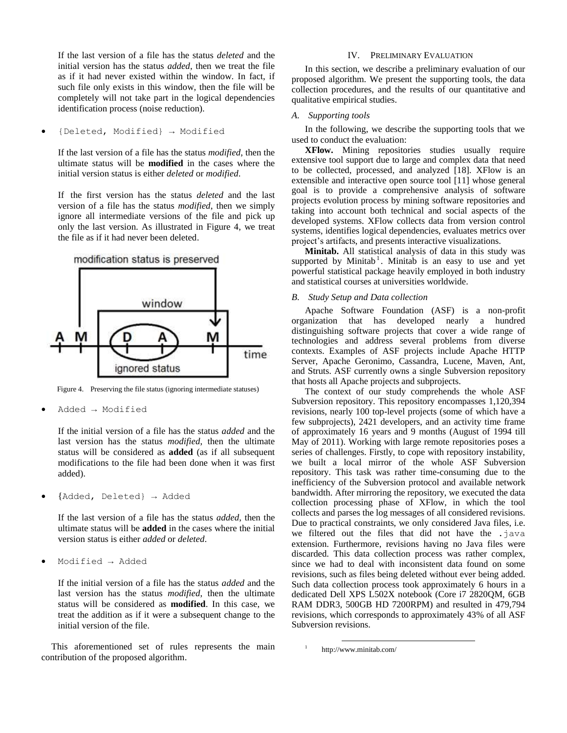If the last version of a file has the status *deleted* and the initial version has the status *added*, then we treat the file as if it had never existed within the window. In fact, if such file only exists in this window, then the file will be completely will not take part in the logical dependencies identification process (noise reduction).

{Deleted, Modified} → Modified

If the last version of a file has the status *modified*, then the ultimate status will be **modified** in the cases where the initial version status is either *deleted* or *modified*.

If the first version has the status *deleted* and the last version of a file has the status *modified*, then we simply ignore all intermediate versions of the file and pick up only the last version. As illustrated in Figure 4, we treat the file as if it had never been deleted.



Figure 4. Preserving the file status (ignoring intermediate statuses)

Added → Modified

If the initial version of a file has the status *added* and the last version has the status *modified*, then the ultimate status will be considered as **added** (as if all subsequent modifications to the file had been done when it was first added).

{Added, Deleted} → Added

If the last version of a file has the status *added*, then the ultimate status will be **added** in the cases where the initial version status is either *added* or *deleted*.

Modified → Added

If the initial version of a file has the status *added* and the last version has the status *modified*, then the ultimate status will be considered as **modified**. In this case, we treat the addition as if it were a subsequent change to the initial version of the file.

This aforementioned set of rules represents the main contribution of the proposed algorithm.

## IV. PRELIMINARY EVALUATION

In this section, we describe a preliminary evaluation of our proposed algorithm. We present the supporting tools, the data collection procedures, and the results of our quantitative and qualitative empirical studies.

# *A. Supporting tools*

In the following, we describe the supporting tools that we used to conduct the evaluation:

**XFlow.** Mining repositories studies usually require extensive tool support due to large and complex data that need to be collected, processed, and analyzed [18]. XFlow is an extensible and interactive open source tool [11] whose general goal is to provide a comprehensive analysis of software projects evolution process by mining software repositories and taking into account both technical and social aspects of the developed systems. XFlow collects data from version control systems, identifies logical dependencies, evaluates metrics over project's artifacts, and presents interactive visualizations.

**Minitab.** All statistical analysis of data in this study was supported by Minitab<sup>1</sup>. Minitab is an easy to use and yet powerful statistical package heavily employed in both industry and statistical courses at universities worldwide.

#### *B. Study Setup and Data collection*

Apache Software Foundation (ASF) is a non-profit organization that has developed nearly a hundred distinguishing software projects that cover a wide range of technologies and address several problems from diverse contexts. Examples of ASF projects include Apache HTTP Server, Apache Geronimo, Cassandra, Lucene, Maven, Ant, and Struts. ASF currently owns a single Subversion repository that hosts all Apache projects and subprojects.

The context of our study comprehends the whole ASF Subversion repository. This repository encompasses 1,120,394 revisions, nearly 100 top-level projects (some of which have a few subprojects), 2421 developers, and an activity time frame of approximately 16 years and 9 months (August of 1994 till May of 2011). Working with large remote repositories poses a series of challenges. Firstly, to cope with repository instability, we built a local mirror of the whole ASF Subversion repository. This task was rather time-consuming due to the inefficiency of the Subversion protocol and available network bandwidth. After mirroring the repository, we executed the data collection processing phase of XFlow, in which the tool collects and parses the log messages of all considered revisions. Due to practical constraints, we only considered Java files, i.e. we filtered out the files that did not have the .java extension. Furthermore, revisions having no Java files were discarded. This data collection process was rather complex, since we had to deal with inconsistent data found on some revisions, such as files being deleted without ever being added. Such data collection process took approximately 6 hours in a dedicated Dell XPS L502X notebook (Core i7 2820QM, 6GB RAM DDR3, 500GB HD 7200RPM) and resulted in 479,794 revisions, which corresponds to approximately 43% of all ASF Subversion revisions.

l

<sup>1</sup>http://www.minitab.com/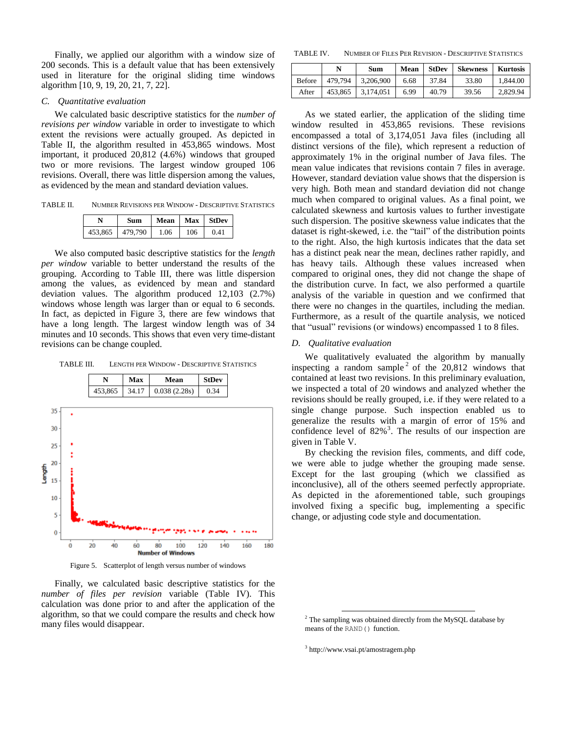Finally, we applied our algorithm with a window size of 200 seconds. This is a default value that has been extensively used in literature for the original sliding time windows algorithm [10, 9, 19, 20, 21, 7, 22].

#### *C. Quantitative evaluation*

We calculated basic descriptive statistics for the *number of revisions per window* variable in order to investigate to which extent the revisions were actually grouped. As depicted in Table II, the algorithm resulted in 453,865 windows. Most important, it produced 20,812 (4.6%) windows that grouped two or more revisions. The largest window grouped 106 revisions. Overall, there was little dispersion among the values, as evidenced by the mean and standard deviation values.

TABLE II. NUMBER REVISIONS PER WINDOW - DESCRIPTIVE STATISTICS

|         | Sum     | Mean |     | Max StDev |
|---------|---------|------|-----|-----------|
| 453.865 | 479,790 | 1.06 | 106 | 0.41      |

We also computed basic descriptive statistics for the *length per window* variable to better understand the results of the grouping. According to Table III, there was little dispersion among the values, as evidenced by mean and standard deviation values. The algorithm produced 12,103 (2.7%) windows whose length was larger than or equal to 6 seconds. In fact, as depicted in Figure 3, there are few windows that have a long length. The largest window length was of 34 minutes and 10 seconds. This shows that even very time-distant revisions can be change coupled.

TABLE III. LENGTH PER WINDOW - DESCRIPTIVE STATISTICS



Figure 5. Scatterplot of length versus number of windows

Finally, we calculated basic descriptive statistics for the *number of files per revision* variable (Table IV). This calculation was done prior to and after the application of the algorithm, so that we could compare the results and check how many files would disappear.

TABLE IV. NUMBER OF FILES PER REVISION - DESCRIPTIVE STATISTICS

|               | N       | Sum       | Mean | <b>StDev</b> | <b>Skewness</b> | <b>Kurtosis</b> |
|---------------|---------|-----------|------|--------------|-----------------|-----------------|
| <b>Before</b> | 479.794 | 3.206.900 | 6.68 | 37.84        | 33.80           | 1.844.00        |
| After         | 453.865 | 3.174.051 | 6.99 | 40.79        | 39.56           | 2.829.94        |

As we stated earlier, the application of the sliding time window resulted in 453,865 revisions. These revisions encompassed a total of 3,174,051 Java files (including all distinct versions of the file), which represent a reduction of approximately 1% in the original number of Java files. The mean value indicates that revisions contain 7 files in average. However, standard deviation value shows that the dispersion is very high. Both mean and standard deviation did not change much when compared to original values. As a final point, we calculated skewness and kurtosis values to further investigate such dispersion. The positive skewness value indicates that the dataset is right-skewed, i.e. the "tail" of the distribution points to the right. Also, the high kurtosis indicates that the data set has a distinct peak near the mean, declines rather rapidly, and has heavy tails. Although these values increased when compared to original ones, they did not change the shape of the distribution curve. In fact, we also performed a quartile analysis of the variable in question and we confirmed that there were no changes in the quartiles, including the median. Furthermore, as a result of the quartile analysis, we noticed that "usual" revisions (or windows) encompassed 1 to 8 files.

#### *D. Qualitative evaluation*

We qualitatively evaluated the algorithm by manually inspecting a random sample<sup>2</sup> of the  $20,812$  windows that contained at least two revisions. In this preliminary evaluation, we inspected a total of 20 windows and analyzed whether the revisions should be really grouped, i.e. if they were related to a single change purpose. Such inspection enabled us to generalize the results with a margin of error of 15% and confidence level of  $82\%$ <sup>3</sup>. The results of our inspection are given in Table V.

By checking the revision files, comments, and diff code, we were able to judge whether the grouping made sense. Except for the last grouping (which we classified as inconclusive), all of the others seemed perfectly appropriate. As depicted in the aforementioned table, such groupings involved fixing a specific bug, implementing a specific change, or adjusting code style and documentation.

3 http://www.vsai.pt/amostragem.php

l

<sup>&</sup>lt;sup>2</sup> The sampling was obtained directly from the MySQL database by means of the RAND() function.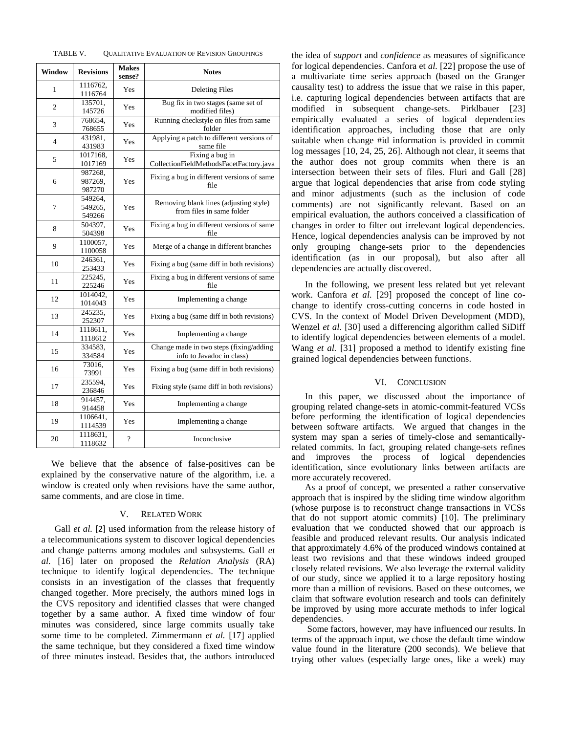| TABLE V. | <b>QUALITATIVE EVALUATION OF REVISION GROUPINGS</b> |  |
|----------|-----------------------------------------------------|--|
|----------|-----------------------------------------------------|--|

| Window         | <b>Revisions</b>             | <b>Makes</b><br>sense? | <b>Notes</b>                                                         |
|----------------|------------------------------|------------------------|----------------------------------------------------------------------|
| 1              | 1116762,<br>1116764          | Yes                    | <b>Deleting Files</b>                                                |
| $\overline{c}$ | 135701,<br>145726            | Yes                    | Bug fix in two stages (same set of<br>modified files)                |
| 3              | 768654,<br>768655            | Yes                    | Running checkstyle on files from same<br>folder                      |
| 4              | 431981,<br>431983            | Yes                    | Applying a patch to different versions of<br>same file               |
| 5              | 1017168.<br>1017169          | Yes                    | Fixing a bug in<br>CollectionFieldMethodsFacetFactory.java           |
| 6              | 987268,<br>987269,<br>987270 | Yes                    | Fixing a bug in different versions of same<br>file                   |
| 7              | 549264,<br>549265,<br>549266 | Yes                    | Removing blank lines (adjusting style)<br>from files in same folder  |
| 8              | 504397,<br>504398            | Yes                    | Fixing a bug in different versions of same<br>file                   |
| 9              | 1100057,<br>1100058          | Yes                    | Merge of a change in different branches                              |
| 10             | 246361,<br>253433            | Yes                    | Fixing a bug (same diff in both revisions)                           |
| 11             | 225245,<br>225246            | Yes                    | Fixing a bug in different versions of same<br>file                   |
| 12             | 1014042,<br>1014043          | Yes                    | Implementing a change                                                |
| 13             | 245235,<br>252307            | Yes                    | Fixing a bug (same diff in both revisions)                           |
| 14             | 1118611,<br>1118612          | Yes                    | Implementing a change                                                |
| 15             | 334583.<br>334584            | Yes                    | Change made in two steps (fixing/adding<br>info to Javadoc in class) |
| 16             | 73016,<br>73991              | Yes                    | Fixing a bug (same diff in both revisions)                           |
| 17             | 235594,<br>236846            | Yes                    | Fixing style (same diff in both revisions)                           |
| 18             | 914457,<br>914458            | Yes                    | Implementing a change                                                |
| 19             | 1106641,<br>1114539          | Yes                    | Implementing a change                                                |
| 20             | 1118631,<br>1118632          | $\gamma$               | Inconclusive                                                         |

We believe that the absence of false-positives can be explained by the conservative nature of the algorithm, i.e. a window is created only when revisions have the same author, same comments, and are close in time.

# V. RELATED WORK

Gall *et al.* [2] used information from the release history of a telecommunications system to discover logical dependencies and change patterns among modules and subsystems. Gall *et al.* [16] later on proposed the *Relation Analysis* (RA) technique to identify logical dependencies. The technique consists in an investigation of the classes that frequently changed together. More precisely, the authors mined logs in the CVS repository and identified classes that were changed together by a same author. A fixed time window of four minutes was considered, since large commits usually take some time to be completed. Zimmermann *et al.* [17] applied the same technique, but they considered a fixed time window of three minutes instead. Besides that, the authors introduced

the idea of *support* and *confidence* as measures of significance for logical dependencies. Canfora et *al.* [22] propose the use of a multivariate time series approach (based on the Granger causality test) to address the issue that we raise in this paper, i.e. capturing logical dependencies between artifacts that are modified in subsequent change-sets. Pirklbauer [23] empirically evaluated a series of logical dependencies identification approaches, including those that are only suitable when change #id information is provided in commit log messages [10, 24, 25, 26]. Although not clear, it seems that the author does not group commits when there is an intersection between their sets of files. Fluri and Gall [28] argue that logical dependencies that arise from code styling and minor adjustments (such as the inclusion of code comments) are not significantly relevant. Based on an empirical evaluation, the authors conceived a classification of changes in order to filter out irrelevant logical dependencies. Hence, logical dependencies analysis can be improved by not only grouping change-sets prior to the dependencies identification (as in our proposal), but also after all dependencies are actually discovered.

In the following, we present less related but yet relevant work. Canfora *et al.* [29] proposed the concept of line cochange to identify cross-cutting concerns in code hosted in CVS. In the context of Model Driven Development (MDD), Wenzel *et al.* [30] used a differencing algorithm called SiDiff to identify logical dependencies between elements of a model. Wang *et al.* [31] proposed a method to identify existing fine grained logical dependencies between functions.

# VI. CONCLUSION

In this paper, we discussed about the importance of grouping related change-sets in atomic-commit-featured VCSs before performing the identification of logical dependencies between software artifacts. We argued that changes in the system may span a series of timely-close and semanticallyrelated commits. In fact, grouping related change-sets refines and improves the process of logical dependencies identification, since evolutionary links between artifacts are more accurately recovered.

As a proof of concept, we presented a rather conservative approach that is inspired by the sliding time window algorithm (whose purpose is to reconstruct change transactions in VCSs that do not support atomic commits) [10]. The preliminary evaluation that we conducted showed that our approach is feasible and produced relevant results. Our analysis indicated that approximately 4.6% of the produced windows contained at least two revisions and that these windows indeed grouped closely related revisions. We also leverage the external validity of our study, since we applied it to a large repository hosting more than a million of revisions. Based on these outcomes, we claim that software evolution research and tools can definitely be improved by using more accurate methods to infer logical dependencies.

Some factors, however, may have influenced our results. In terms of the approach input, we chose the default time window value found in the literature (200 seconds). We believe that trying other values (especially large ones, like a week) may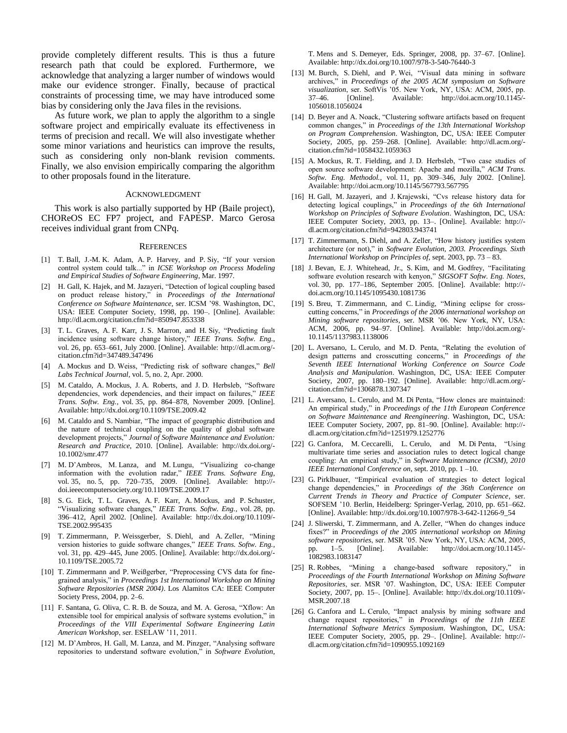provide completely different results. This is thus a future research path that could be explored. Furthermore, we acknowledge that analyzing a larger number of windows would make our evidence stronger. Finally, because of practical constraints of processing time, we may have introduced some bias by considering only the Java files in the revisions.

As future work, we plan to apply the algorithm to a single software project and empirically evaluate its effectiveness in terms of precision and recall. We will also investigate whether some minor variations and heuristics can improve the results, such as considering only non-blank revision comments. Finally, we also envision empirically comparing the algorithm to other proposals found in the literature.

#### ACKNOWLEDGMENT

This work is also partially supported by HP (Baile project), CHOReOS EC FP7 project, and FAPESP. Marco Gerosa receives individual grant from CNPq.

#### **REFERENCES**

- [1] T. Ball, J.-M. K. Adam, A. P. Harvey, and P. Siy, "If your version control system could talk..." in *ICSE Workshop on Process Modeling and Empirical Studies of Software Engineering*, Mar. 1997.
- [2] H. Gall, K. Hajek, and M. Jazayeri, "Detection of logical coupling based on product release history," in *Proceedings of the International Conference on Software Maintenance*, ser. ICSM '98. Washington, DC, USA: IEEE Computer Society, 1998, pp. 190–. [Online]. Available: http://dl.acm.org/citation.cfm?id=850947.853338
- [3] T. L. Graves, A. F. Karr, J. S. Marron, and H. Siy, "Predicting fault incidence using software change history," *IEEE Trans. Softw. Eng.*, vol. 26, pp. 653–661, July 2000. [Online]. Available: http://dl.acm.org/ citation.cfm?id=347489.347496
- [4] A. Mockus and D. Weiss, "Predicting risk of software changes," *Bell Labs Technical Journal*, vol. 5, no. 2, Apr. 2000.
- [5] M. Cataldo, A. Mockus, J. A. Roberts, and J. D. Herbsleb, "Software dependencies, work dependencies, and their impact on failures," *IEEE Trans. Softw. Eng.*, vol. 35, pp. 864–878, November 2009. [Online]. Available: http://dx.doi.org/10.1109/TSE.2009.42
- [6] M. Cataldo and S. Nambiar, "The impact of geographic distribution and the nature of technical coupling on the quality of global software development projects," *Journal of Software Maintenance and Evolution: Research and Practice*, 2010. [Online]. Available: http://dx.doi.org/- 10.1002/smr.477
- [7] M. D'Ambros, M. Lanza, and M. Lungu, "Visualizing co-change information with the evolution radar," *IEEE Trans. Software Eng*, vol. 35, no. 5, pp. 720–735, 2009. [Online]. Available: http:// doi.ieeecomputersociety.org/10.1109/TSE.2009.17
- [8] S. G. Eick, T. L. Graves, A. F. Karr, A. Mockus, and P. Schuster, "Visualizing software changes," *IEEE Trans. Softw. Eng.*, vol. 28, pp. 396–412, April 2002. [Online]. Available: http://dx.doi.org/10.1109/- TSE.2002.995435
- [9] T. Zimmermann, P. Weissgerber, S. Diehl, and A. Zeller, "Mining version histories to guide software changes," *IEEE Trans. Softw. Eng.*, vol. 31, pp. 429–445, June 2005. [Online]. Available: http://dx.doi.org/- 10.1109/TSE.2005.72
- [10] T. Zimmermann and P. Weißgerber, "Preprocessing CVS data for finegrained analysis," in *Proceedings 1st International Workshop on Mining Software Repositories (MSR 2004)*. Los Alamitos CA: IEEE Computer Society Press, 2004, pp. 2–6.
- [11] F. Santana, G. Oliva, C. R. B. de Souza, and M. A. Gerosa, "Xflow: An extensible tool for empirical analysis of software systems evolution," in *Proceedings of the VIII Experimental Software Engineering Latin American Workshop*, ser. ESELAW '11, 2011.
- [12] M. D'Ambros, H. Gall, M. Lanza, and M. Pinzger, "Analysing software repositories to understand software evolution," in *Software Evolution*,

T. Mens and S. Demeyer, Eds. Springer, 2008, pp. 37–67. [Online]. Available: http://dx.doi.org/10.1007/978-3-540-76440-3

- [13] M. Burch, S. Diehl, and P. Wei, "Visual data mining in software archives," in *Proceedings of the 2005 ACM symposium on Software visualization*, ser. SoftVis '05. New York, NY, USA: ACM, 2005, pp. 37–46. [Online]. Available: http://doi.acm.org/10.1145/-Available: http://doi.acm.org/10.1145/-1056018.1056024
- [14] D. Beyer and A. Noack, "Clustering software artifacts based on frequent common changes," in *Proceedings of the 13th International Workshop on Program Comprehension*. Washington, DC, USA: IEEE Computer Society, 2005, pp. 259–268. [Online]. Available: http://dl.acm.org/ citation.cfm?id=1058432.1059363
- [15] A. Mockus, R. T. Fielding, and J. D. Herbsleb, "Two case studies of open source software development: Apache and mozilla," *ACM Trans. Softw. Eng. Methodol.*, vol. 11, pp. 309–346, July 2002. [Online]. Available: http://doi.acm.org/10.1145/567793.567795
- [16] H. Gall, M. Jazayeri, and J. Krajewski, "Cvs release history data for detecting logical couplings," in *Proceedings of the 6th International Workshop on Principles of Software Evolution*. Washington, DC, USA: IEEE Computer Society, 2003, pp. 13–. [Online]. Available: http:// dl.acm.org/citation.cfm?id=942803.943741
- [17] T. Zimmermann, S. Diehl, and A. Zeller, "How history justifies system architecture (or not)," in *Software Evolution, 2003. Proceedings. Sixth International Workshop on Principles of*, sept. 2003, pp. 73 – 83.
- [18] J. Bevan, E. J. Whitehead, Jr., S. Kim, and M. Godfrey, "Facilitating software evolution research with kenyon," *SIGSOFT Softw. Eng. Notes*, vol. 30, pp. 177–186, September 2005. [Online]. Available: http:// doi.acm.org/10.1145/1095430.1081736
- [19] S. Breu, T. Zimmermann, and C. Lindig, "Mining eclipse for crosscutting concerns," in *Proceedings of the 2006 international workshop on Mining software repositories*, ser. MSR '06. New York, NY, USA: ACM, 2006, pp. 94–97. [Online]. Available: http://doi.acm.org/- 10.1145/1137983.1138006
- [20] L. Aversano, L. Cerulo, and M. D. Penta, "Relating the evolution of design patterns and crosscutting concerns," in *Proceedings of the Seventh IEEE International Working Conference on Source Code Analysis and Manipulation*. Washington, DC, USA: IEEE Computer Society, 2007, pp. 180–192. [Online]. Available: http://dl.acm.org/ citation.cfm?id=1306878.1307347
- [21] L. Aversano, L. Cerulo, and M. Di Penta, "How clones are maintained: An empirical study," in *Proceedings of the 11th European Conference on Software Maintenance and Reengineering*. Washington, DC, USA: IEEE Computer Society, 2007, pp. 81–90. [Online]. Available: http:// dl.acm.org/citation.cfm?id=1251979.1252776
- [22] G. Canfora, M. Ceccarelli, L. Cerulo, and M. Di Penta, "Using multivariate time series and association rules to detect logical change coupling: An empirical study," in *Software Maintenance (ICSM), 2010 IEEE International Conference on*, sept. 2010, pp. 1 –10.
- [23] G. Pirklbauer, "Empirical evaluation of strategies to detect logical change dependencies," in *Proceedings of the 36th Conference on Current Trends in Theory and Practice of Computer Science*, ser. SOFSEM '10. Berlin, Heidelberg: Springer-Verlag, 2010, pp. 651–662. [Online]. Available: http://dx.doi.org/10.1007/978-3-642-11266-9\_54
- [24] J. Sliwerski, T. Zimmermann, and A. Zeller, "When do changes induce fixes?" in *Proceedings of the 2005 international workshop on Mining software repositories*, ser. MSR '05. New York, NY, USA: ACM, 2005, pp. 1–5. [Online]. Available: http://doi.acm.org/10.1145/- 1082983.1083147
- [25] R. Robbes, "Mining a change-based software repository," in *Proceedings of the Fourth International Workshop on Mining Software Repositories*, ser. MSR '07. Washington, DC, USA: IEEE Computer Society, 2007, pp. 15–. [Online]. Available: http://dx.doi.org/10.1109/- MSR.2007.18
- [26] G. Canfora and L. Cerulo, "Impact analysis by mining software and change request repositories," in *Proceedings of the 11th IEEE International Software Metrics Symposium*. Washington, DC, USA: IEEE Computer Society, 2005, pp. 29–. [Online]. Available: http:// dl.acm.org/citation.cfm?id=1090955.1092169